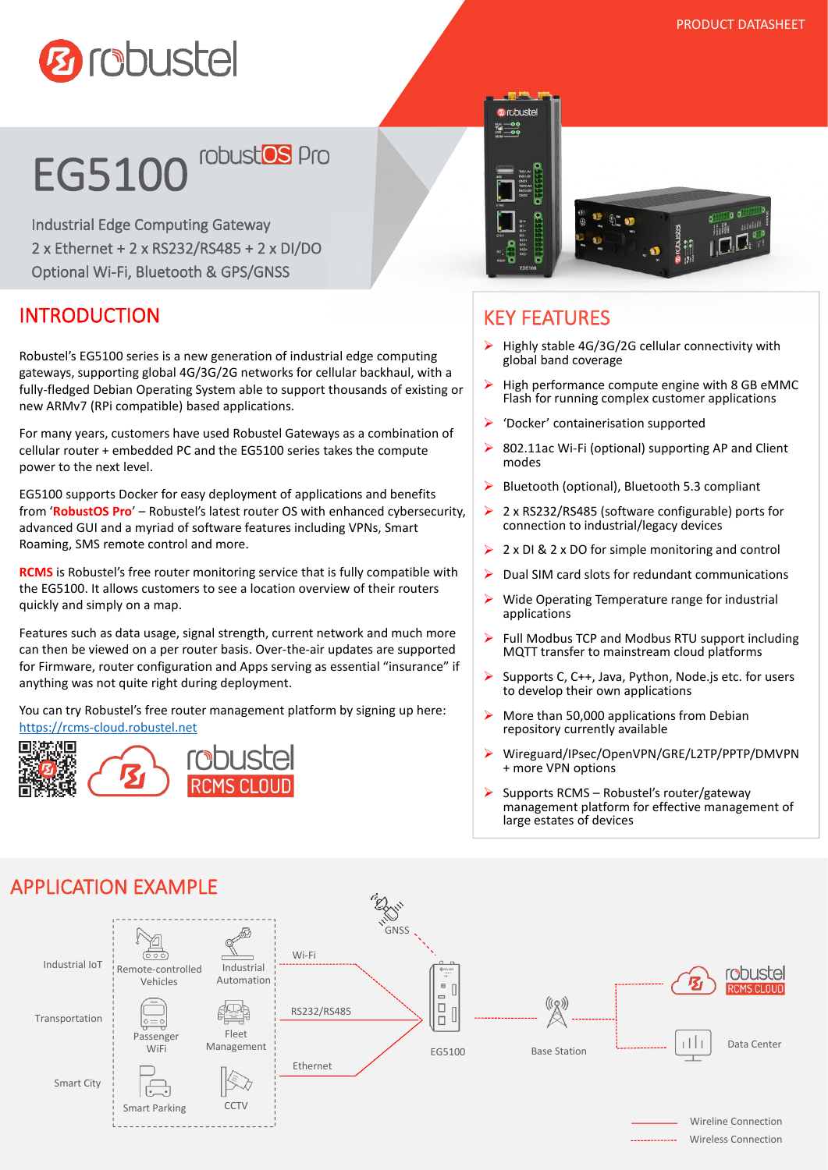

# **EG5100** robust<sup>os</sup> Pro

' Optional Wi-Fi, Bluetooth & GPS/GNSS Industrial Edge Computing Gateway 2 x Ethernet + 2 x RS232/RS485 + 2 x DI/DO

### INTRODUCTION

Robustel's EG5100 series is a new generation of industrial edge computing gateways, supporting global 4G/3G/2G networks for cellular backhaul, with a fully-fledged Debian Operating System able to support thousands of existing or new ARMv7 (RPi compatible) based applications.

For many years, customers have used Robustel Gateways as a combination of cellular router + embedded PC and the EG5100 series takes the compute power to the next level.

EG5100 supports Docker for easy deployment of applications and benefits from '**RobustOS Pro**' – Robustel's latest router OS with enhanced cybersecurity, advanced GUI and a myriad of software features including VPNs, Smart Roaming, SMS remote control and more.

**RCMS** is Robustel's free router monitoring service that is fully compatible with the EG5100. It allows customers to see a location overview of their routers quickly and simply on a map.

Features such as data usage, signal strength, current network and much more can then be viewed on a per router basis. Over-the-air updates are supported for Firmware, router configuration and Apps serving as essential "insurance" if anything was not quite right during deployment.

You can try Robustel's free router management platform by signing up here: <https://rcms-cloud.robustel.net>





# KEY FEATURES

- Highly stable 4G/3G/2G cellular connectivity with global band coverage
- $\triangleright$  High performance compute engine with 8 GB eMMC Flash for running complex customer applications
- $\triangleright$  'Docker' containerisation supported
- ▶ 802.11ac Wi-Fi (optional) supporting AP and Client modes
- Bluetooth (optional), Bluetooth 5.3 compliant
- 2 x RS232/RS485 (software configurable) ports for connection to industrial/legacy devices
- 2 x DI & 2 x DO for simple monitoring and control
- $\triangleright$  Dual SIM card slots for redundant communications
- Wide Operating Temperature range for industrial applications
- Full Modbus TCP and Modbus RTU support including MQTT transfer to mainstream cloud platforms
- Supports C, C++, Java, Python, Node.js etc. for users to develop their own applications
- More than 50,000 applications from Debian repository currently available
- Wireguard/IPsec/OpenVPN/GRE/L2TP/PPTP/DMVPN + more VPN options
- Supports RCMS Robustel's router/gateway management platform for effective management of large estates of devices